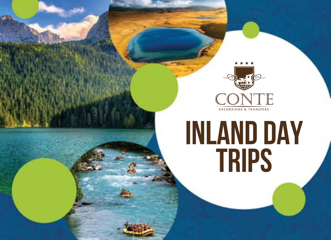

# **INLAND DAY TRIPS**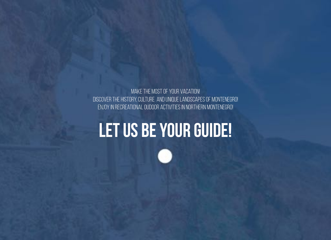

Make the most of your vacation! Discover the history, culture and unique landscapes of Montenegro! Enjoy in recreational oudoor activities in Northern Montenegro!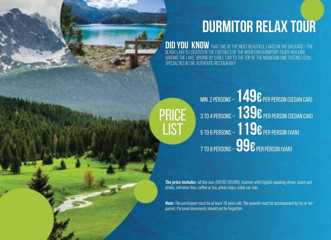### **Durmitor relax tour**

**did you know** that one of the most beautiful lakes in the Balkans – the Black lake is located in the foothills of the mountain Durmitor? Enjoy walking around the lake, driving by cable car to the top of the mountain and tasting local specialties in the authentic restaurant!

**PRICE** LIST Min. 2 persons – **149€**per person (Sedan car) 3 to 4 persons – **139€**per person (Sedan car) 5 to 6 persons – **119€**per person (Van) 7 to 8 persons – **99€**per person (Van)

*The price includes: all day tour (08:00-20:00h), transfer with English speaking driver, lunch and drinks, entrance fees, cofee or tea, photo stops, cable car ride.*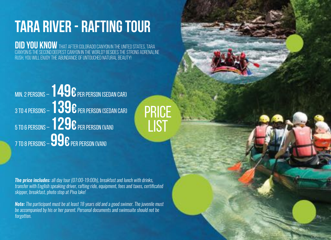### **Tara river - rafting tour**

**Did you know** that after Colorado canyon in the United States, Tara canyon is the second deepest canyon in the world? Besides the strong adrenaline rush, you will enjoy the abundance of untouched natural beauty!

PRICE

LIST

Min. 2 persons – **149€**per person (Sedan car) 3 to 4 persons – **139€**per person (Sedan car) 5 to 6 persons – **129€**per person (Van) 7 to 8 persons – **99€**per person (Van)

*The price includes: all day tour (07:00-19:00h), breakfast and lunch with drinks, transfer with English speaking driver, rafting ride, equipment, fees and taxes, certifcated skipper, breakfast, photo stop at Piva lake!*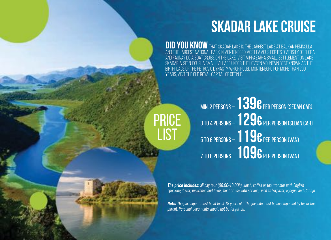### **Skadar lake cruise**

**DID YOU KNOW** THAT SKADAR LAKE IS THE LARGEST LAKE AT BALKAN PENINSULA and the largest national park in Montenegro most famous for its diversity of flora and fauna? Do a boat cruise on the lake, visit Virpazar-a small settlement on Lake Skadar, visit Njegusi-a small village under the Lovcen mountain best known as the birthplace of the Petrović dynasty which ruled Montenegro for more than 200 years, visit the Old Royal Capital of Cetinje.

PRICE LIST

Min. 2 persons – **139€**per person (Sedan car) 3 to 4 persons – **129€**per person (Sedan car) 5 to 6 persons – **119€**per person (Van) 7 to 8 persons – **109€**per person (Van)

*The price includes: all day tour (08:00-18:00h), lunch, cofee or tea, transfer with English speaking driver, insurance and taxes, boat cruise with service, visit to Virpazar, Njegusi and Cetinje.*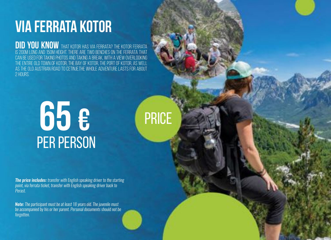### **Via Ferrata Kotor**

**DID YOU KNOW** THAT KOTOR HAS VIA FERRATA? THE KOTOR FERRATA is 200m long and 150m height. There are two benches on the ferrata that can be used for taking photos and taking a break, with a view overlooking the entire Old Town of Kotor, the Bay of Kotor, the Port of Kotor, as well AS THE OLD AUSTRIAN ROAD TO CETINJE.THE WHOLE ADVENTURE LASTS FOR ABOUT 2 HOURS.

PRICE

## per person **65 €**

*The price includes: transfer with English speaking driver to the starting point, via ferrata ticket, transfer with English speaking driver back to Perast.*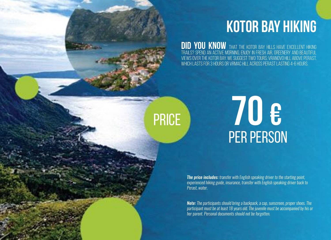### **Kotor Bay Hiking**

**Did you know** that the Kotor Bay hills have excellent hiking trails? Spend an active morning, enjoy in fresh air, greenery and beautiful views over the Kotor Bay. We suggest two tours: Vranovo hill above Perast, which lasts for 3 hours or Vrmac hill across Perast lasting 4-6 hours.

## per person PRICE **70 €**

*The price includes: transfer with English speaking driver to the starting point, experienced hiking guide, insurance, transfer with English speaking driver back to Perast, water.* 

*Note: The participants should bring a backpack, a cap, sunscreen, proper shoes. The participant must be at least 18 years old. The juvenile must be accompanied by his or her parent. Personal documents should not be forgotten.*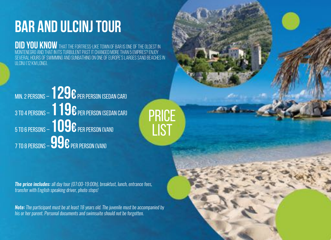### **Bar and Ulcinj tour**

**Did you know** that the fortress-like town of Bar is one of the oldest in Montenegro and that in its turbulent past it changed more than 5 empires? Enjoy several hours of swimming and sunbathing on one of Europe's larges sand beaches in Ulcinj (12 km long).

PRICE

LIST

Min. 2 persons – **129€**per person (Sedan car) 3 to 4 persons – **119€**per person (Sedan car) 5 to 6 persons – **109€**per person (Van) 7 to 8 persons – **99€**per person (Van)

*The price includes: all day tour (07:00-19:00h), breakfast, lunch, entrance fees, transfer with English speaking driver, photo stops!*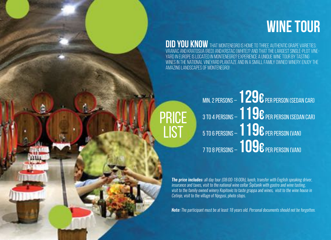### **WINE TOUR**

**DID YOU KNOW** THAT MONTENEGRO IS HOME TO THREE AUTHENTIC GRAPE VARIETIES: Vranac and Kratosija (red) and Krstac (white)? And that the largestsingle-plot vineyard in Europe is located in Montenegro? Experience a unique wine tour by tasting wines in the National vineyard Plantaze and in a small family owned winery. Enjoy the amazing landscapes of Montenegro!

> Min. 2 persons – **129€**per person (Sedan car) 3 to 4 persons – **119€**per person (Sedan car) 5 to 6 persons – **119€**per person (Van) 7 to 8 persons – **109€**per person (Van)

PRICE

**LIST** 

*The price includes: all day tour (08:00-18:00h), lunch, transfer with English speaking driver, insurance and taxes, visit to the national wine cellar Šipčanik with gastro and wine tasting, visit to the family owned winery Kopitovic to taste grappa and wines, visit to the wine house in Cetinje, visit to the village of Njegusi, photo stops.* 

*Note: The participant must be at least 18 years old. Personal documents should not be forgotten.*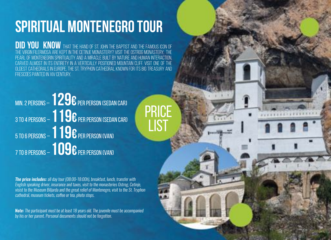### **Spiritual Montenegro Tour**

**did you know** that the hand of St. John the Baptist and the famous icon of the Virgin Filermosa are kept in the Cetinje monastery? Visit the Ostrog monastery, the pearl of Montenegrin spirituality and a miracle built by nature and human interaction, carved almost in its entirety in a vertically positioned mountain cliff. Visit one of the oldest cathedrals in Europe, the St. Tryphon cathedral known for its big treasury and frescoes painted in XIV century.

PRICE

**LIST** 

Min. 2 persons – **129€**per person (Sedan car) 3 to 4 persons – **119€**per person (Sedan car) 5 to 6 persons – **119€**per person (Van) 7 to 8 persons – **109€**per person (Van)

*The price includes: all day tour (08:00-18:00h), breakfast, lunch, transfer with English speaking driver, insurance and taxes, visit to the monasteries Ostrog, Cetinje, visist to the Museum Biljarda and the great relief of Montenegro, visit to the St. Tryphon cathedral, museum tickets, cofee or tea, photo stops.*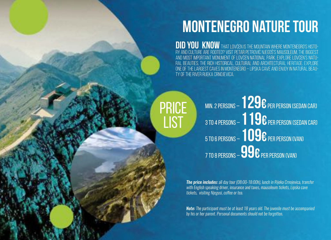### **Montenegro Nature Tour**

**DID YOU KNOW** THAT LOVĆEN IS THE MOUNTAIN WHERE MONTENEGRO'S HISTOry and culture are rooted? Visit Petar Petrović Njegoš's Mausoleum, the biggest and most important monument of Lovćen national park. Explore Lovćen's natural beauties, the rich historical, cultural and architectural heritage. Explore one of the largest caves in Montenegro – LIPSKA CAVE AND ENJOY IN NATURAL BEAUty of the river Rijeka Crnojevica.

**PRICE LIST** 

Min. 2 persons – **129€**per person (Sedan car) 3 to 4 persons – **119€**per person (Sedan car) 5 to 6 persons – **109€**per person (Van) 7 to 8 persons – **99€**per person (Van)

*The price includes: all day tour (08:00-18:00h), lunch in Rijeka Crnojevica, transfer with English speaking driver, insurance and taxes, mausoleum tickets, Lipska cave tickets, visiting Njegusi, cofee or tea.*